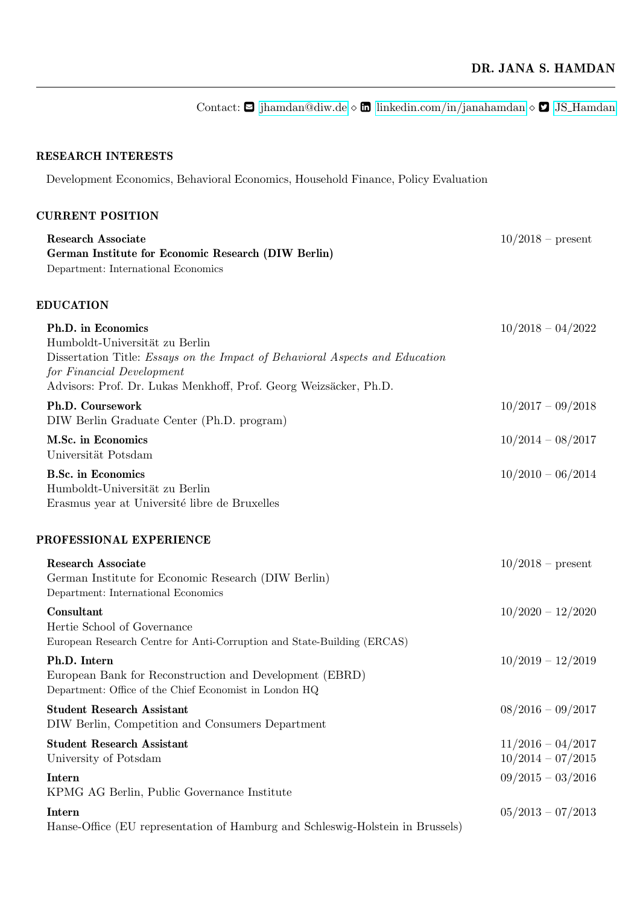## RESEARCH INTERESTS

Development Economics, Behavioral Economics, Household Finance, Policy Evaluation

# CURRENT POSITION

| $10/2018 - 04/2022$                        |
|--------------------------------------------|
| $10/2017 - 09/2018$                        |
| $10/2014 - 08/2017$                        |
| $10/2010 - 06/2014$                        |
|                                            |
| $10/2018$ – present                        |
| $10/2020 - 12/2020$                        |
| $10/2019 - 12/2019$                        |
| $08/2016 - 09/2017$                        |
| $11/2016 - 04/2017$<br>$10/2014 - 07/2015$ |
| $09/2015 - 03/2016$                        |
| $05/2013 - 07/2013$                        |
|                                            |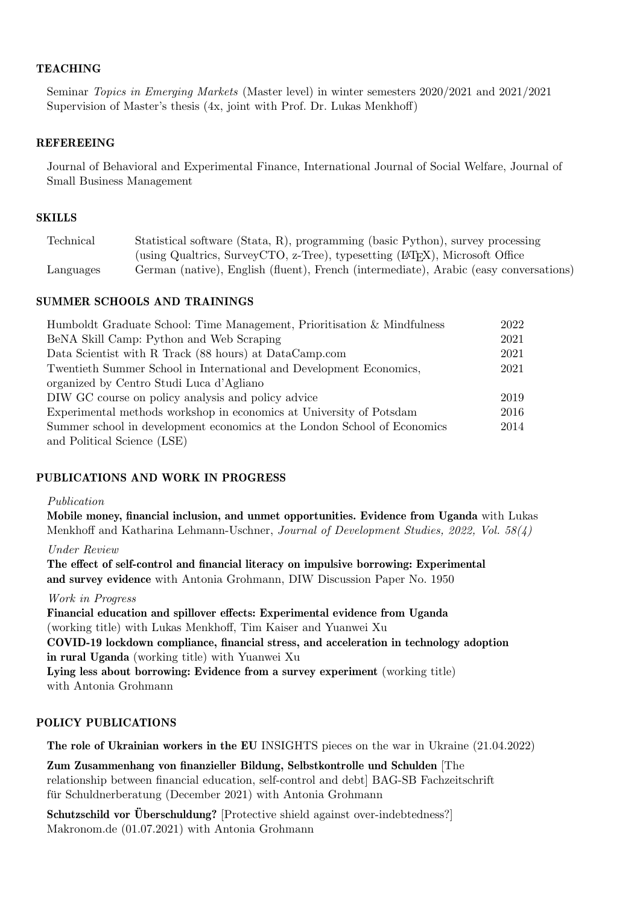## **TEACHING**

Seminar Topics in Emerging Markets (Master level) in winter semesters 2020/2021 and 2021/2021 Supervision of Master's thesis (4x, joint with Prof. Dr. Lukas Menkhoff)

## REFEREEING

Journal of Behavioral and Experimental Finance, International Journal of Social Welfare, Journal of Small Business Management

#### **SKILLS**

| Technical | Statistical software (Stata, R), programming (basic Python), survey processing          |
|-----------|-----------------------------------------------------------------------------------------|
|           | (using Qualtrics, SurveyCTO, z-Tree), typesetting (L <sup>T</sup> FX), Microsoft Office |
| Languages | German (native), English (fluent), French (intermediate), Arabic (easy conversations)   |

#### SUMMER SCHOOLS AND TRAININGS

| Humboldt Graduate School: Time Management, Prioritisation & Mindfulness  | 2022 |
|--------------------------------------------------------------------------|------|
| BeNA Skill Camp: Python and Web Scraping                                 | 2021 |
| Data Scientist with R Track (88 hours) at DataCamp.com                   | 2021 |
| Twentieth Summer School in International and Development Economics,      | 2021 |
| organized by Centro Studi Luca d'Agliano                                 |      |
| DIW GC course on policy analysis and policy advice                       | 2019 |
| Experimental methods workshop in economics at University of Potsdam      | 2016 |
| Summer school in development economics at the London School of Economics | 2014 |
| and Political Science (LSE)                                              |      |

## PUBLICATIONS AND WORK IN PROGRESS

#### Publication

Mobile money, financial inclusion, and unmet opportunities. Evidence from Uganda with Lukas Menkhoff and Katharina Lehmann-Uschner, Journal of Development Studies, 2022, Vol. 58(4)

Under Review

The effect of self-control and financial literacy on impulsive borrowing: Experimental and survey evidence with Antonia Grohmann, DIW Discussion Paper No. 1950

## Work in Progress

Financial education and spillover effects: Experimental evidence from Uganda (working title) with Lukas Menkhoff, Tim Kaiser and Yuanwei Xu COVID-19 lockdown compliance, financial stress, and acceleration in technology adoption in rural Uganda (working title) with Yuanwei Xu Lying less about borrowing: Evidence from a survey experiment (working title) with Antonia Grohmann

## POLICY PUBLICATIONS

The role of Ukrainian workers in the EU INSIGHTS pieces on the war in Ukraine (21.04.2022)

Zum Zusammenhang von finanzieller Bildung, Selbstkontrolle und Schulden [The relationship between financial education, self-control and debt] BAG-SB Fachzeitschrift für Schuldnerberatung (December 2021) with Antonia Grohmann

Schutzschild vor Überschuldung? [Protective shield against over-indebtedness?] Makronom.de (01.07.2021) with Antonia Grohmann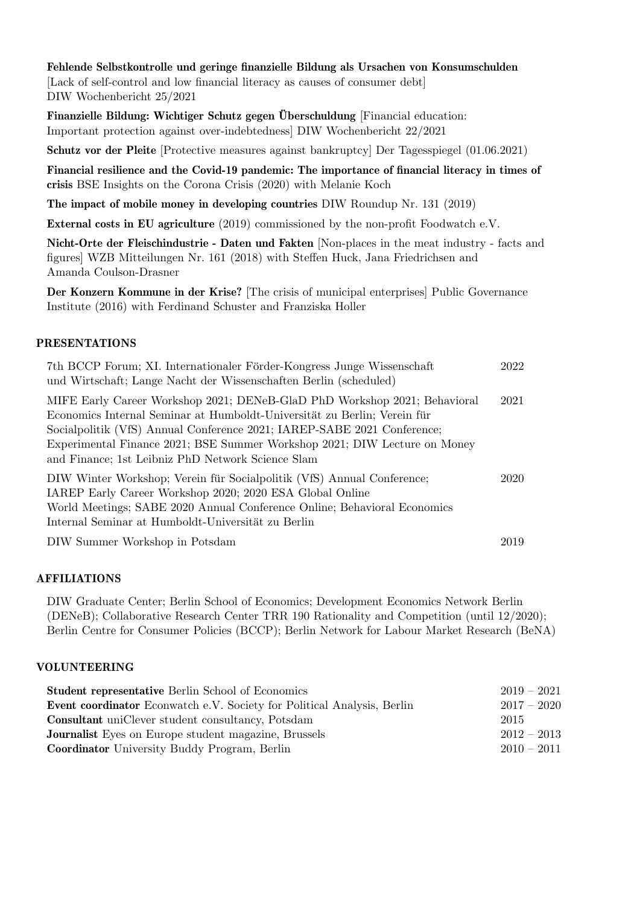## Fehlende Selbstkontrolle und geringe finanzielle Bildung als Ursachen von Konsumschulden

[Lack of self-control and low financial literacy as causes of consumer debt] DIW Wochenbericht 25/2021

Finanzielle Bildung: Wichtiger Schutz gegen Überschuldung [Financial education: Important protection against over-indebtedness] DIW Wochenbericht 22/2021

Schutz vor der Pleite [Protective measures against bankruptcy] Der Tagesspiegel (01.06.2021)

Financial resilience and the Covid-19 pandemic: The importance of financial literacy in times of crisis BSE Insights on the Corona Crisis (2020) with Melanie Koch

The impact of mobile money in developing countries DIW Roundup Nr. 131 (2019)

External costs in EU agriculture (2019) commissioned by the non-profit Foodwatch e.V.

Nicht-Orte der Fleischindustrie - Daten und Fakten [Non-places in the meat industry - facts and figures] WZB Mitteilungen Nr. 161 (2018) with Steffen Huck, Jana Friedrichsen and Amanda Coulson-Drasner

Der Konzern Kommune in der Krise? [The crisis of municipal enterprises] Public Governance Institute (2016) with Ferdinand Schuster and Franziska Holler

## PRESENTATIONS

| 7th BCCP Forum; XI. Internationaler Förder-Kongress Junge Wissenschaft<br>und Wirtschaft; Lange Nacht der Wissenschaften Berlin (scheduled)                                                                                                                                                                                                                        | 2022 |
|--------------------------------------------------------------------------------------------------------------------------------------------------------------------------------------------------------------------------------------------------------------------------------------------------------------------------------------------------------------------|------|
| MIFE Early Career Workshop 2021; DENeB-GlaD PhD Workshop 2021; Behavioral<br>Economics Internal Seminar at Humboldt-Universität zu Berlin; Verein für<br>Socialpolitik (VfS) Annual Conference 2021; IAREP-SABE 2021 Conference;<br>Experimental Finance 2021; BSE Summer Workshop 2021; DIW Lecture on Money<br>and Finance; 1st Leibniz PhD Network Science Slam | 2021 |
| DIW Winter Workshop; Verein für Socialpolitik (VfS) Annual Conference;<br>IAREP Early Career Workshop 2020; 2020 ESA Global Online<br>World Meetings; SABE 2020 Annual Conference Online; Behavioral Economics<br>Internal Seminar at Humboldt-Universität zu Berlin                                                                                               | 2020 |
| DIW Summer Workshop in Potsdam                                                                                                                                                                                                                                                                                                                                     | 2019 |

## AFFILIATIONS

DIW Graduate Center; Berlin School of Economics; Development Economics Network Berlin (DENeB); Collaborative Research Center TRR 190 Rationality and Competition (until 12/2020); Berlin Centre for Consumer Policies (BCCP); Berlin Network for Labour Market Research (BeNA)

## VOLUNTEERING

| <b>Student representative Berlin School of Economics</b>                       | $2019 - 2021$ |
|--------------------------------------------------------------------------------|---------------|
| <b>Event coordinator</b> Econwatch e.V. Society for Political Analysis, Berlin | $2017 - 2020$ |
| <b>Consultant</b> uniClever student consultancy, Potsdam                       | 2015          |
| <b>Journalist</b> Eyes on Europe student magazine, Brussels                    | $2012 - 2013$ |
| <b>Coordinator</b> University Buddy Program, Berlin                            | $2010 - 2011$ |